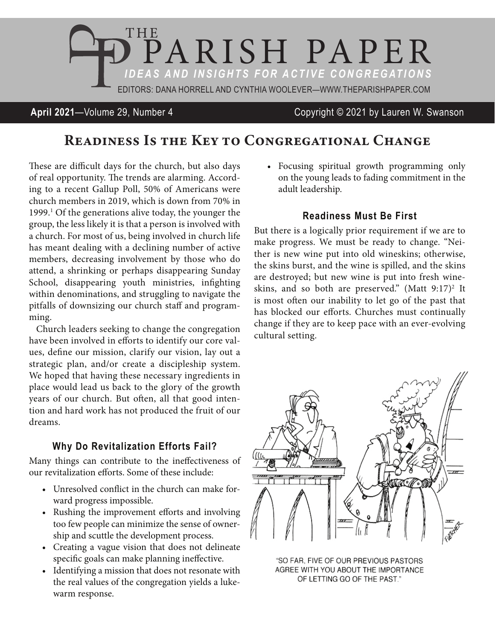

**April 2021**—Volume 29, Number 4 Copyright © 2021 by Lauren W. Swanson

# Readiness Is the Key to Congregational Change

These are difficult days for the church, but also days of real opportunity. The trends are alarming. According to a recent Gallup Poll, 50% of Americans were church members in 2019, which is down from 70% in 1999.<sup>1</sup> Of the generations alive today, the younger the group, the less likely it is that a person is involved with a church. For most of us, being involved in church life has meant dealing with a declining number of active members, decreasing involvement by those who do attend, a shrinking or perhaps disappearing Sunday School, disappearing youth ministries, infighting within denominations, and struggling to navigate the pitfalls of downsizing our church staff and programming.

Church leaders seeking to change the congregation have been involved in efforts to identify our core values, define our mission, clarify our vision, lay out a strategic plan, and/or create a discipleship system. We hoped that having these necessary ingredients in place would lead us back to the glory of the growth years of our church. But often, all that good intention and hard work has not produced the fruit of our dreams.

## **Why Do Revitalization Efforts Fail?**

Many things can contribute to the ineffectiveness of our revitalization efforts. Some of these include:

- Unresolved conflict in the church can make forward progress impossible.
- Rushing the improvement efforts and involving too few people can minimize the sense of ownership and scuttle the development process.
- Creating a vague vision that does not delineate specific goals can make planning ineffective.
- Identifying a mission that does not resonate with the real values of the congregation yields a lukewarm response.

• Focusing spiritual growth programming only on the young leads to fading commitment in the adult leadership.

### **Readiness Must Be First**

But there is a logically prior requirement if we are to make progress. We must be ready to change. "Neither is new wine put into old wineskins; otherwise, the skins burst, and the wine is spilled, and the skins are destroyed; but new wine is put into fresh wineskins, and so both are preserved."  $(Matt 9:17)^2$  It is most often our inability to let go of the past that has blocked our efforts. Churches must continually change if they are to keep pace with an ever-evolving cultural setting.



"SO FAR, FIVE OF OUR PREVIOUS PASTORS AGREE WITH YOU ABOUT THE IMPORTANCE OF LETTING GO OF THE PAST."